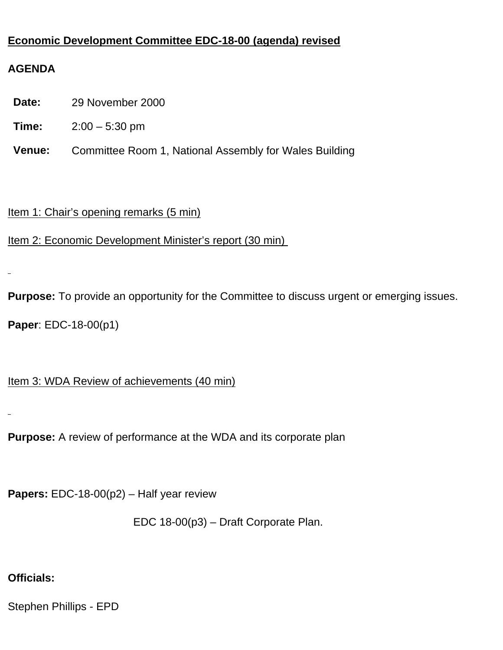## **Economic Development Committee EDC-18-00 (agenda) revised**

# **AGENDA**

- **Date:** 29 November 2000
- **Time:** 2:00 5:30 pm
- **Venue:** Committee Room 1, National Assembly for Wales Building

Item 1: Chair's opening remarks (5 min)

Item 2: Economic Development Minister's report (30 min)

**Purpose:** To provide an opportunity for the Committee to discuss urgent or emerging issues. **Paper**: EDC-18-00(p1)

Item 3: WDA Review of achievements (40 min)

**Purpose:** A review of performance at the WDA and its corporate plan

**Papers:** EDC-18-00(p2) – Half year review

EDC 18-00(p3) – Draft Corporate Plan.

## **Officials:**

Stephen Phillips - EPD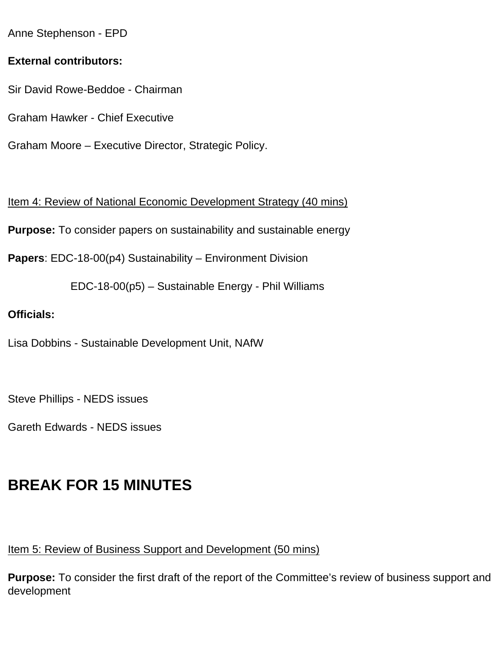Anne Stephenson - EPD

#### **External contributors:**

Sir David Rowe-Beddoe - Chairman

Graham Hawker - Chief Executive

Graham Moore – Executive Director, Strategic Policy.

Item 4: Review of National Economic Development Strategy (40 mins)

**Purpose:** To consider papers on sustainability and sustainable energy

**Papers**: EDC-18-00(p4) Sustainability – Environment Division

EDC-18-00(p5) – Sustainable Energy - Phil Williams

#### **Officials:**

Lisa Dobbins - Sustainable Development Unit, NAfW

Steve Phillips - NEDS issues

Gareth Edwards - NEDS issues

# **BREAK FOR 15 MINUTES**

Item 5: Review of Business Support and Development (50 mins)

**Purpose:** To consider the first draft of the report of the Committee's review of business support and development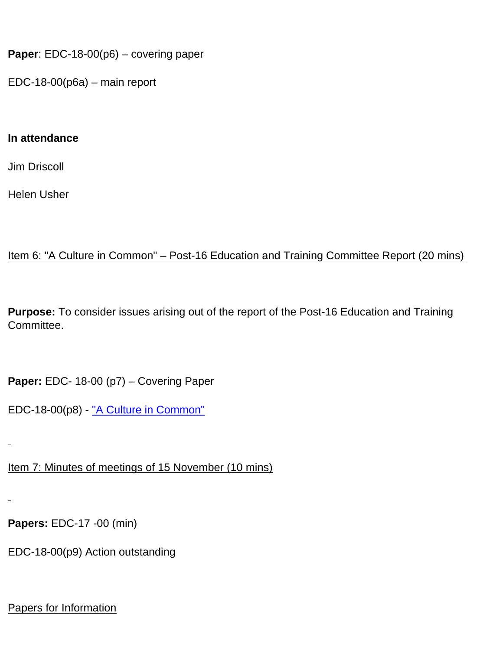**Paper**: EDC-18-00(p6) – covering paper

EDC-18-00(p6a) – main report

#### **In attendance**

Jim Driscoll

Helen Usher

Item 6: "A Culture in Common" – Post-16 Education and Training Committee Report (20 mins)

**Purpose:** To consider issues arising out of the report of the Post-16 Education and Training Committee.

**Paper:** EDC- 18-00 (p7) – Covering Paper

EDC-18-00(p8) - ["A Culture in Common"](http://www.wales.gov.uk/newsite.dbs?3A098663000BB19000004A6200000000+current+3A0BF7DE000E40820000726000000000+cur_date+11_2000)

Item 7: Minutes of meetings of 15 November (10 mins)

**Papers:** EDC-17 -00 (min)

EDC-18-00(p9) Action outstanding

Papers for Information